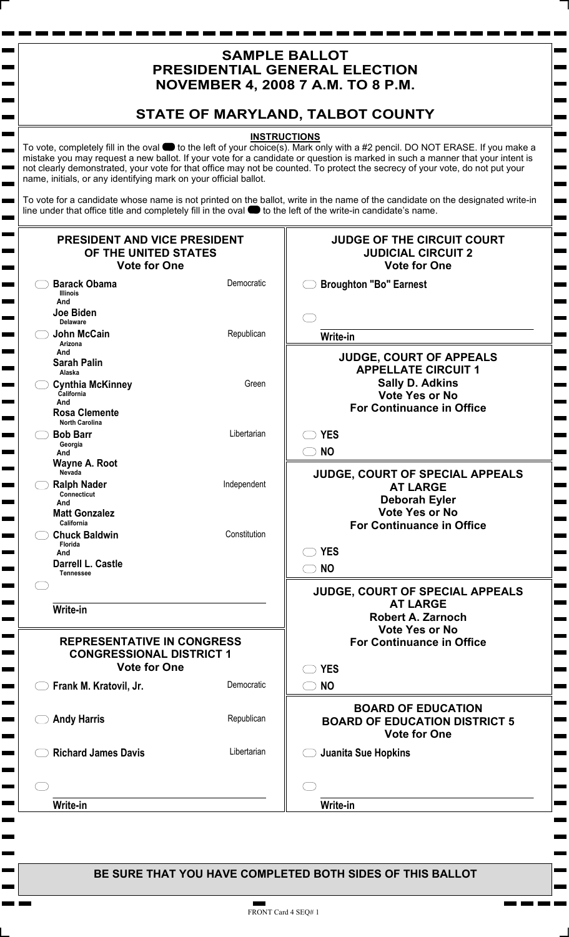## **SAMPLE BALLOT PRESIDENTIAL GENERAL ELECTION NOVEMBER 4, 2008 7 A.M. TO 8 P.M.**

# **STATE OF MARYLAND, TALBOT COUNTY**

#### **INSTRUCTIONS**

To vote, completely fill in the oval  $\bullet$  to the left of your choice(s). Mark only with a #2 pencil. DO NOT ERASE. If you make a mistake you may request a new ballot. If your vote for a candidate or question is marked in such a manner that your intent is not clearly demonstrated, your vote for that office may not be counted. To protect the secrecy of your vote, do not put your name, initials, or any identifying mark on your official ballot.

**College** 

 $\sim$ 

Ē

Е  $\blacksquare$ 

 $\blacksquare$ 

m.

Е

 $\mathbf{r}$ 

m. **The Second** 

Ē **The Second** Е

Ē

m.

To vote for a candidate whose name is not printed on the ballot, write in the name of the candidate on the designated write-in line under that office title and completely fill in the oval  $\bullet$  to the left of the write-in candidate's name.

| PRESIDENT AND VICE PRESIDENT<br>OF THE UNITED STATES<br><b>Vote for One</b> |              | <b>JUDGE OF THE CIRCUIT COURT</b><br><b>JUDICIAL CIRCUIT 2</b><br><b>Vote for One</b> |
|-----------------------------------------------------------------------------|--------------|---------------------------------------------------------------------------------------|
| <b>Barack Obama</b><br><b>Illinois</b><br>And                               | Democratic   | <b>Broughton "Bo" Earnest</b>                                                         |
| Joe Biden<br><b>Delaware</b>                                                |              |                                                                                       |
| <b>John McCain</b><br>Arizona<br>And                                        | Republican   | Write-in                                                                              |
| <b>Sarah Palin</b><br>Alaska                                                |              | <b>JUDGE, COURT OF APPEALS</b><br><b>APPELLATE CIRCUIT 1</b>                          |
| <b>Cynthia McKinney</b><br>California<br>And                                | Green        | <b>Sally D. Adkins</b><br><b>Vote Yes or No</b>                                       |
| <b>Rosa Clemente</b><br><b>North Carolina</b>                               |              | <b>For Continuance in Office</b>                                                      |
| <b>Bob Barr</b><br>Georgia<br>And                                           | Libertarian  | <b>YES</b><br><b>NO</b>                                                               |
| Wayne A. Root<br>Nevada                                                     |              | <b>JUDGE, COURT OF SPECIAL APPEALS</b>                                                |
| <b>Ralph Nader</b><br><b>Connecticut</b><br>And                             | Independent  | <b>AT LARGE</b><br><b>Deborah Eyler</b>                                               |
| <b>Matt Gonzalez</b><br>California                                          |              | <b>Vote Yes or No</b><br><b>For Continuance in Office</b>                             |
| <b>Chuck Baldwin</b><br>Florida<br>And                                      | Constitution | <b>YES</b>                                                                            |
| Darrell L. Castle<br><b>Tennessee</b>                                       |              | <b>NO</b>                                                                             |
|                                                                             |              | <b>JUDGE, COURT OF SPECIAL APPEALS</b><br><b>AT LARGE</b>                             |
| Write-in                                                                    |              | <b>Robert A. Zarnoch</b><br><b>Vote Yes or No</b>                                     |
| <b>REPRESENTATIVE IN CONGRESS</b><br><b>CONGRESSIONAL DISTRICT 1</b>        |              | <b>For Continuance in Office</b>                                                      |
| <b>Vote for One</b><br>Frank M. Kratovil, Jr.                               | Democratic   | <b>YES</b><br><b>NO</b>                                                               |
|                                                                             |              | <b>BOARD OF EDUCATION</b>                                                             |
| <b>Andy Harris</b>                                                          | Republican   | <b>BOARD OF EDUCATION DISTRICT 5</b><br><b>Vote for One</b>                           |
| <b>Richard James Davis</b>                                                  | Libertarian  | Juanita Sue Hopkins                                                                   |
|                                                                             |              |                                                                                       |
| Write-in                                                                    |              | Write-in                                                                              |

**BE SURE THAT YOU HAVE COMPLETED BOTH SIDES OF THIS BALLOT**